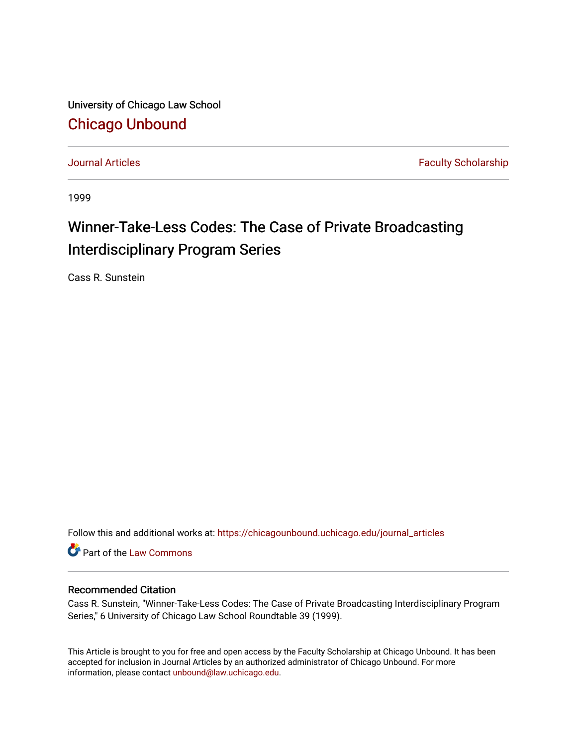University of Chicago Law School [Chicago Unbound](https://chicagounbound.uchicago.edu/)

[Journal Articles](https://chicagounbound.uchicago.edu/journal_articles) **Faculty Scholarship Journal Articles** 

1999

## Winner-Take-Less Codes: The Case of Private Broadcasting Interdisciplinary Program Series

Cass R. Sunstein

Follow this and additional works at: [https://chicagounbound.uchicago.edu/journal\\_articles](https://chicagounbound.uchicago.edu/journal_articles?utm_source=chicagounbound.uchicago.edu%2Fjournal_articles%2F8630&utm_medium=PDF&utm_campaign=PDFCoverPages) 

Part of the [Law Commons](http://network.bepress.com/hgg/discipline/578?utm_source=chicagounbound.uchicago.edu%2Fjournal_articles%2F8630&utm_medium=PDF&utm_campaign=PDFCoverPages)

### Recommended Citation

Cass R. Sunstein, "Winner-Take-Less Codes: The Case of Private Broadcasting Interdisciplinary Program Series," 6 University of Chicago Law School Roundtable 39 (1999).

This Article is brought to you for free and open access by the Faculty Scholarship at Chicago Unbound. It has been accepted for inclusion in Journal Articles by an authorized administrator of Chicago Unbound. For more information, please contact [unbound@law.uchicago.edu](mailto:unbound@law.uchicago.edu).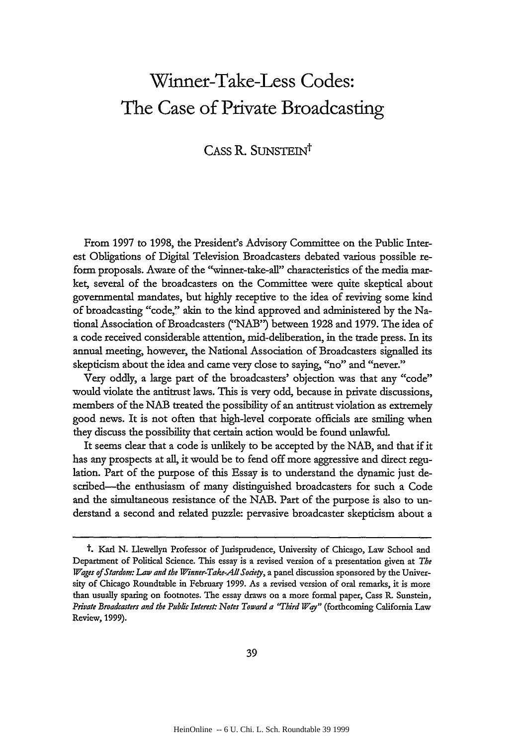# **Winner-Take-Less Codes: The Case of Private Broadcasting**

### CASS R. SUNSTEIN<sup>t</sup>

From 1997 to 1998, the President's Advisory Committee on the Public Interest Obligations of Digital Television Broadcasters debated various possible reform proposals. Aware of the "winner-take-all" characteristics of the media market, several of the broadcasters on the Committee were quite skeptical about governmental mandates, but highly receptive to the idea of reviving some kind of broadcasting "code," akin to the kind approved and administered by the National Association of Broadcasters *("NAB")* between 1928 and 1979. The idea of a code received considerable attention, mid-deliberation, in the trade press. In its annual meeting, however, the National Association of Broadcasters signalled its skepticism about the idea and came very close to saying, "no" and "never."

Very oddly, a large part of the broadcasters' objection was that any "code" would violate the antitrust laws. This is very odd, because in private discussions, members of the NAB treated the possibility of an antitrust violation as extremely good news. It is not often that high-level corporate officials are smiling when they discuss the possibility that certain action would be found unlawful.

It seems dear that a code is unlikely to be accepted by the NAB, and that if it has any prospects at all, it would be to fend off more aggressive and direct regulation. Part of the purpose of this Essay is to understand the dynamic just described-the enthusiasm of many distinguished broadcasters for such a Code and the simultaneous resistance of the NAB. Part of the purpose is also to understand a second and related puzzle: pervasive broadcaster skepticism about a

t. Karl N. Llewellyn Professor of Jurisprudence, University of Chicago, Law School and Department of Political Science. This essay is a revised version of a presentation given at *The Wages of Stardom: Law and the Winner-Take-All Sodety,* a panel discussion sponsored by the University of Chicago Roundtable in February **1999.** As a revised version of oral remarks, it is more than usually sparing on footnotes. The essay draws on a more formal paper, Cass R. Sunstein, *Private Broadcasters and the Pubic Interest: Notes Toward a 'Third Way"* (forthcoming California Law Review, 1999).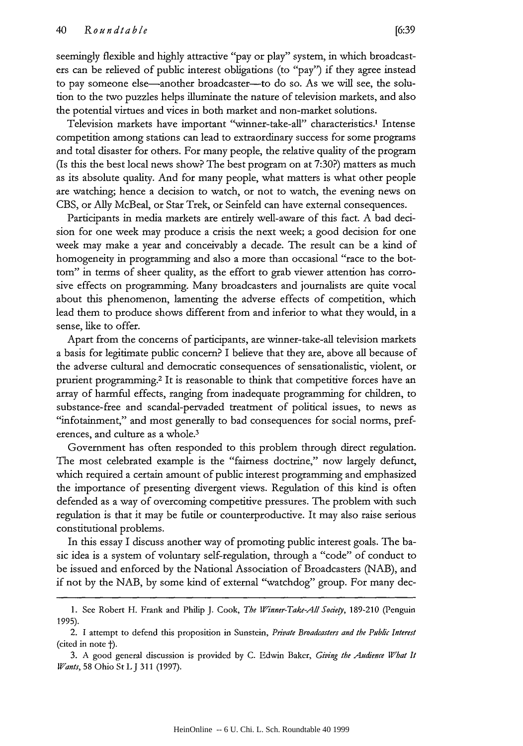seemingly flexible and highly attractive "pay or play" system, in which broadcasters can be relieved of public interest obligations (to "pay") if they agree instead to pay someone else-another broadcaster-to do so. As we will see, the solution to the two puzzles helps illuminate the nature of television markets, and also the potential virtues and vices in both market and non-market solutions.

Television markets have important "winner-take-all" characteristics.' Intense competition among stations can lead to extraordinary success for some programs and total disaster for others. For many people, the relative quality of the program (Is this the best local news show? The best program on at 7:30?) matters as much as its absolute quality. And for many people, what matters is what other people are watching; hence a decision to watch, or not to watch, the evening news on CBS, or Ally McBeal, or Star Trek, or Seinfeld can have external consequences.

Participants in media markets are entirely well-aware of this fact. A bad decision for one week may produce a crisis the next week; a good decision for one week may make a year and conceivably a decade. The result can be a kind of homogeneity in programming and also a more than occasional "race to the bottom" in terms of sheer quality, as the effort to grab viewer attention has corrosive effects on programming. Many broadcasters and journalists are quite vocal about this phenomenon, lamenting the adverse effects of competition, which lead them to produce shows different from and inferior to what they would, in a sense, like to offer.

Apart from the concerns of participants, are winner-take-all television markets a basis for legitimate public concern? I believe that they are, above all because of the adverse cultural and democratic consequences of sensationalistic, violent, or prurient programming. 2 It is reasonable to think that competitive forces have an array of harmful effects, ranging from inadequate programming for children, to substance-free and scandal-pervaded treatment of political issues, to news as "infotainment," and most generally to bad consequences for social norms, preferences, and culture as a whole.<sup>3</sup>

Government has often responded to this problem through direct regulation. The most celebrated example is the "fairness doctrine," now largely defunct, which required a certain amount of public interest programming and emphasized the importance of presenting divergent views. Regulation of this kind is often defended as a way of overcoming competitive pressures. The problem with such regulation is that it may be futile or counterproductive. It may also raise serious constitutional problems.

In this essay I discuss another way of promoting public interest goals. The basic idea is a system of voluntary self-regulation, through a "code" of conduct to be issued and enforced by the National Association of Broadcasters (NAB), and if not by the NAB, by some kind of external "watchdog" group. For many dec-

<sup>1.</sup> See Robert H. Frank and Philip J. Cook, *The Winner-Take-All Sodety,* 189-210 (Penguin 1995).

<sup>2.</sup> **1** attempt to defend this proposition in Sunstein, *Private Broadcasters and the Public Interest* (cited in note  $\dagger$ ).

<sup>3.</sup> A good general discussion is provided by C. Edwin Baker, *Giving the Audience What It Wants*, 58 Ohio St L J 311 (1997).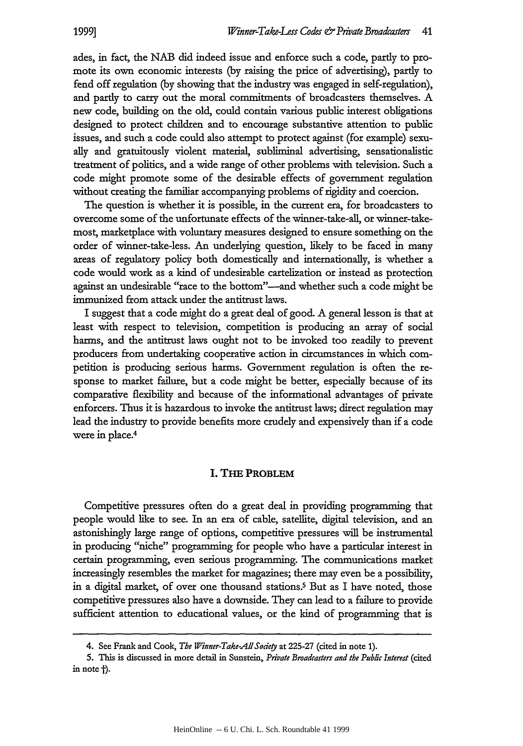ades, in fact, the NAB did indeed issue and enforce such a code, partly to promote its own economic interests (by raising the price of advertising), partly to fend off regulation (by showing that the industry was engaged in self-regulation), and partly to carry out the moral commitments of broadcasters themselves. A new code, building on the old, could contain various public interest obligations designed to protect children and to encourage substantive attention to public issues, and such a code could also attempt to protect against (for example) sexually and gratuitously violent material, subliminal advertising, sensationalistic treatment of politics, and a wide range of other problems with television. Such a code might promote some of the desirable effects of government regulation without creating the familiar accompanying problems of rigidity and coercion.

The question is whether it is possible, in the current era, for broadcasters to overcome some of the unfortunate effects of the winner-take-all, or winner-takemost, marketplace with voluntary measures designed to ensure something on the order of winner-take-less. An underlying question, likely to be faced in many areas of regulatory policy both domestically and internationally, is whether a code would work as a kind of undesirable cartelization or instead as protection against an undesirable "race to the bottom"--and whether such a code might be immunized from attack under the antitrust laws.

I suggest that a code might do a great deal of good. A general lesson is that at least with respect to television, competition is producing an array of social harms, and the antitrust laws ought not to be invoked too readily to prevent producers from undertaking cooperative action in circumstances in which competition is producing serious harms. Government regulation is often the response to market failure, but a code might be better, especially because of its comparative flexibility and because of the informational advantages of private enforcers. Thus it is hazardous to invoke the antitrust laws; direct regulation may lead the industry to provide benefits more crudely and expensively than if a code were in place.4

#### **I. THE PROBLEM**

Competitive pressures often do a great deal in providing programming that people would like to see. In an era of cable, satellite, digital television, and an astonishingly large range of options, competitive pressures will be instrumental in producing "niche" programming for people who have a particular interest in certain programming, even serious programming. The communications market increasingly resembles the market for magazines; there may even be a possibility, in a digital market, of over one thousand stations.<sup>5</sup> But as I have noted, those competitive pressures also have a downside. They can lead to a failure to provide sufficient attention to educational values, or the kind of programming that is

<sup>4.</sup> See Frank and Cook, *The Winner-Take-AllSodety* at 225-27 (cited in note **1).**

**<sup>5.</sup>** This is discussed in more detail in Sunstein, *Private Broadcasters and the Public Interest* (cited in note  $\dagger$ ).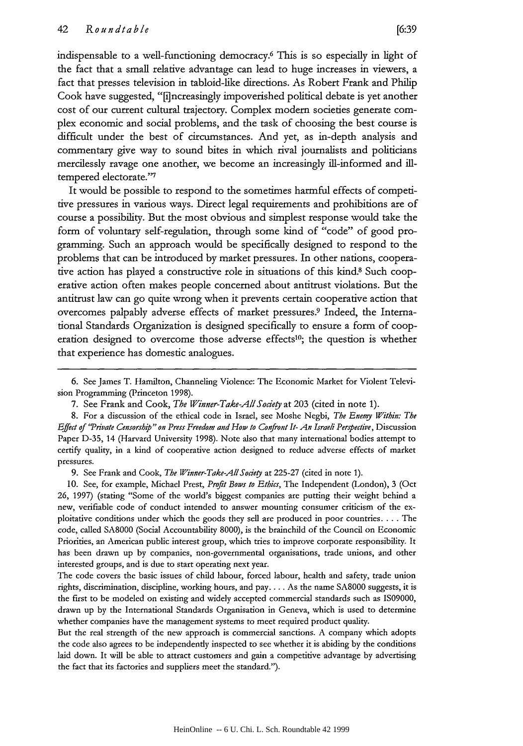indispensable to a well-functioning democracy.6 This is so especially in light of the fact that a small relative advantage can lead to huge increases in viewers, a fact that presses television in tabloid-like directions. As Robert Frank and Philip Cook have suggested, "[i]ncreasingly impoverished political debate is yet another cost of our current cultural trajectory. Complex modem societies generate complex economic and social problems, and the task of choosing the best course is difficult under the best of circumstances. And yet, as in-depth analysis and commentary give way to sound bites in which rival journalists and politicians mercilessly ravage one another, we become an increasingly ill-informed and illtempered electorate."<sup>7</sup>

It would be possible to respond to the sometimes harmful effects of competitive pressures in various ways. Direct legal requirements and prohibitions are of course a possibility. But the most obvious and simplest response would take the form of voluntary self-regulation, through some kind of "code" of good programming. Such an approach would be specifically designed to respond to the problems that can be introduced by market pressures. In other nations, cooperative action has played a constructive role in situations of this kind.8 Such cooperative action often makes people concerned about antitrust violations. But the antitrust law can go quite wrong when it prevents certain cooperative action that overcomes palpably adverse effects of market pressures.9 Indeed, the International Standards Organization is designed specifically to ensure a form of cooperation designed to overcome those adverse effects<sup>10</sup>; the question is whether that experience has domestic analogues.

9. See Frank and Cook, *The Winner-Take-All Society* at 225-27 (cited in note 1).

10. See, for example, Michael Prest, *Profit Bows to Ethics,* The Independent (London), 3 (Oct 26, 1997) (stating "Some of the world's biggest companies are putting their weight behind a new, verifiable code of conduct intended to answer mounting consumer criticism of the exploitative conditions under which the goods they sell are produced in poor countries. ... The code, called **SA8000** (Social Accountability 8000), is the brainchild of the Council on Economic Priorities, an American public interest group, which tries to improve corporate responsibility. It has been drawn up by companies, non-governmental organisations, trade unions, and other interested groups, and is due to start operating next year.

The code covers the basic issues of child labour, forced labour, health and safety, trade union rights, discrimination, discipline, working hours, and pay.... As the name **SA8000** suggests, it is the first to be modeled on existing and widely accepted commercial standards such as IS09000, drawn up by the International Standards Organisation in Geneva, which is used to determine whether companies have the management systems to meet required product quality.

But the real strength of the new approach is commercial sanctions. A company which adopts the code also agrees to be independently inspected to see whether it is abiding by the conditions laid down. It will be able to attract customers and gain a competitive advantage by advertising the fact that its factories and suppliers meet the standard.").

<sup>6.</sup> See James T. Hamilton, Channeling Violence: The Economic Market for Violent Television Programming (Princeton 1998).

<sup>7.</sup> See Frank and Cook, *The Winner-Take-AllSodety* at 203 (cited in note 1).

<sup>8.</sup> For a discussion of the ethical code in Israel, see Moshe Negbi, *The Enemy Within: The Effect of '"Private Censorship" on Press Freedom and How to Confront It- An Israeli Perspective,* Discussion Paper D-35, 14 (Harvard University 1998). Note also that many international bodies attempt to certify quality, in a kind of cooperative action designed to reduce adverse effects of market pressures.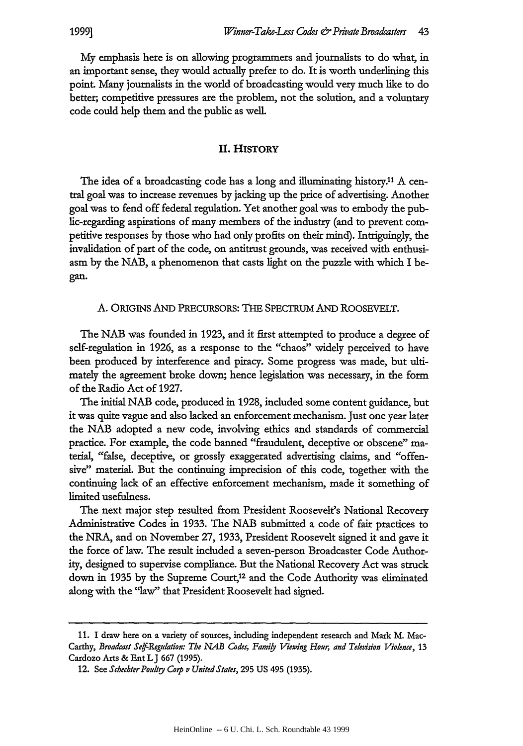My emphasis here is on allowing programmers and journalists to do what, in an important sense, they would actually prefer to do. It is worth underlining this point Many journalists in the world of broadcasting would very much like to do better; competitive pressures are the problem, not the solution, and a voluntary code could help them and the public as well

#### **II. HISTORY**

The idea of a broadcasting code has a long and illuminating history." A central goal was to increase revenues by jacking up the price of advertising. Another goal was to fend off federal regulation. Yet another goal was to embody the public-regarding aspirations of many members of the industry (and to prevent competitive responses by those who had only profits on their mind). Intriguingly, the invalidation of part of the code, on antitrust grounds, was received with enthusiasm by the NAB, a phenomenon that casts light on the puzzle with which I began.

#### A. ORIGINS **AND** PRECURSORS: THE SPECTRUM AND ROOSEVELT.

The NAB was founded in 1923, and it first attempted to produce a degree of self-regulation in 1926, as a response to the "chaos" widely perceived to have been produced by interference and piracy. Some progress was made, but ultimately the agreement broke down; hence legislation was necessary, in the form of the Radio Act of 1927.

The initial NAB code, produced in 1928, included some content guidance, but it was quite vague and also lacked an enforcement mechanism. Just one year later the NAB adopted a new code, involving ethics and standards of commercial practice. For example, the code banned "fraudulent, deceptive or obscene" material, "false, deceptive, or grossly exaggerated advertising claims, and "offensive" material. But the continuing imprecision of this code, together with the continuing lack of an effective enforcement mechanism, made it something of limited usefulness.

The next major step resulted from President Roosevelt's National Recovery Administrative Codes in 1933. The NAB submitted a code of fair practices to the NRA, and on November 27, 1933, President Roosevelt signed it and gave it the force of law. The result included a seven-person Broadcaster Code Authority, designed to supervise compliance. But the National Recovery Act was struck down in 1935 by the Supreme Court,<sup>12</sup> and the Code Authority was eliminated along with the 'law" that President Roosevelt had signed.

<sup>11.</sup> I draw here on a variety of sources, including independent research and Mark M. Mac-Carthy, *Broadcast Se/f-Regulation: The NAB Codes, Family Viewing Hour, and Television Violence,* 13 Cardozo Arts & EntLJ **667** (1995).

<sup>12.</sup> See *Schechter Poultry Corp v United States*, 295 US 495 (1935).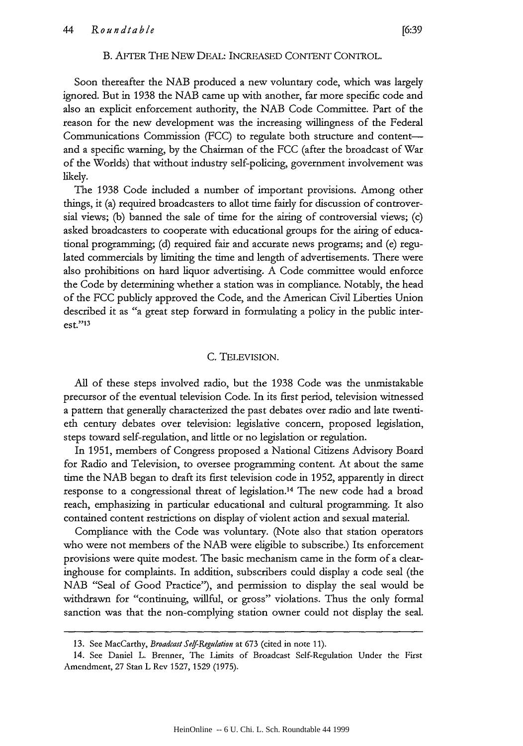#### B. AFTER THE NEW DEAL: INCREASED CONTENT CONTROL.

Soon thereafter the NAB produced a new voluntary code, which was largely ignored. But in 1938 the NAB came up with another, far more specific code and also an explicit enforcement authority, the NAB Code Committee. Part of the reason for the new development was the increasing willingness of the Federal Communications Commission (FCC) to regulate both structure and contentand a specific warning, by the Chairman of the FCC (after the broadcast of War of the Worlds) that without industry self-policing, government involvement was likely.

The 1938 Code included a number of important provisions. Among other things, it (a) required broadcasters to allot time fairly for discussion of controversial views; **(b)** banned the sale of time for the airing of controversial views; (c) asked broadcasters to cooperate with educational groups for the airing of educational programming; (d) required fair and accurate news programs; and (e) regulated commercials by limiting the time and length of advertisements. There were also prohibitions on hard liquor advertising. A Code committee would enforce the Code by determining whether a station was in compliance. Notably, the head of the FCC publicly approved the Code, and the American Civil Liberties Union described it as "a great step forward in formulating a policy in the public interest."13

#### C. TELEVISION.

All of these steps involved radio, but the 1938 Code was the unmistakable precursor of the eventual television Code. In its first period, television witnessed a pattern that generally characterized the past debates over radio and late twentieth century debates over television: legislative concern, proposed legislation, steps toward self-regulation, and little or no legislation or regulation.

In 1951, members of Congress proposed a National Citizens Advisory Board for Radio and Television, to oversee programming content. At about the same time the NAB began to draft its first television code in 1952, apparently in direct response to a congressional threat of legislation.14 The new code had a broad reach, emphasizing in particular educational and cultural programming. It also contained content restrictions on display of violent action and sexual material.

Compliance with the Code was voluntary. (Note also that station operators who were not members of the NAB were eligible to subscribe.) Its enforcement provisions were quite modest. The basic mechanism came in the form of a clearinghouse for complaints. In addition, subscribers could display a code seal (the NAB "Seal of Good Practice"), and permission to display the seal would be withdrawn for "continuing, willful, or gross" violations. Thus the only formal sanction was that the non-complying station owner could not display the seal.

<sup>13.</sup> See MacCarthy, Broadcast Self-Regulation at 673 (cited in note 11).

<sup>14.</sup> See Daniel L. Brenner, The Limits of Broadcast Self-Regulation Under the First Amendment, 27 Stan L Rev 1527, 1529 (1975).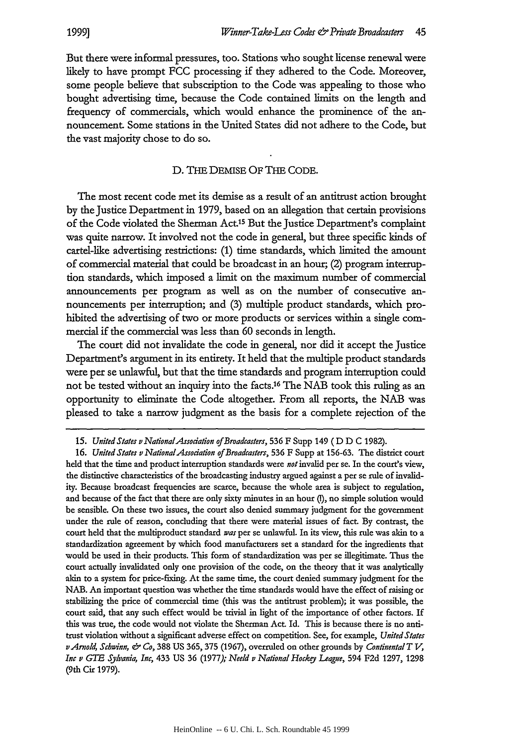But there were informal pressures, too. Stations who sought license renewal were likely to have prompt FCC processing if they adhered to the Code. Moreover, some people believe that subscription to the Code was appealing to those who bought advertising time, because the Code contained limits on the length and frequency of commercials, which would enhance the prominence of the announcement. Some stations in the United States did not adhere to the Code, but the vast majority chose to do so.

#### D. **THE** DEMISE OF THE **CODE.**

The most recent code met its demise as a result of an antitrust action brought by the justice Department in 1979, based on an allegation that certain provisions of the Code violated the Sherman Act.15 But the Justice Department's complaint was quite narrow. It involved not the code in general, but three specific kinds of cartel-like advertising restrictions: (1) time standards, which limited the amount of commercial material that could be broadcast in an hour; (2) program interruption standards, which imposed a limit on the maximum number of commercial announcements per program as well as on the number of consecutive announcements per interruption; and (3) multiple product standards, which prohibited the advertising of two or more products or services within a single commercial if the commercial was less than 60 seconds in length.

The court did not invalidate the code in general, nor did it accept the Justice Department's argument in its entirety. It held that the multiple product standards were per se unlawful, but that the time standards and program interruption could not be tested without an inquiry into the facts. 16 The NAB took this ruling as an opportunity to eliminate the Code altogether. From all reports, the NAB was pleased to take a narrow judgment as the basis for a complete rejection of the

*<sup>15.</sup> United States v NationalAssodation of Broadcasters,* 536 F Supp 149 ( D D C 1982).

**<sup>16.</sup>** *United States v NationalAssodation of Broadcasters,* 536 F Supp at 156-63. The district court held that the time and product interruption standards were *not* invalid per se. In the court's view, the distinctive characteristics of the broadcasting industry argued against a per se rule of invalidity. Because broadcast frequencies are scarce, because the whole area is subject to regulation, and because of the fact that there are only sixty minutes in an hour (), no simple solution would be sensible. On these two issues, the court also denied summary judgment for the government under the rule of reason, concluding that there were material issues of fact. By contrast, the court held that the multiproduct standard *was* per se unlawful. In its view, this rule was akin to a standardization agreement by which food manufacturers set a standard for the ingredients that would be used in their products. This form of standardization was per se illegitimate. Thus the court actually invalidated only one provision of the code, on the theory that it was analytically akin to a system for price-fixing. At the same time, the court denied summary judgment for the NAB. An important question was whether the time standards would have the effect of raising or stabilizing the price of commercial time (this was the antitrust problem); it was possible, the court said, that any such effect would be trivial in light of the importance of other factors. If this was true, the code would not violate the Sherman Act. Id. This is because there is no antitrust violation without a significant adverse effect on competition. See, for example, *United States vArnold, Schwinn, & Co,* 388 US 365, 375 (1967), overruled on other grounds by *Continental T t, Inc v GTE Sylvania, Inc,* 433 US 36 (1977); *Neeld v National Hocky League,* 594 F2d 1297, 1298 (9th Cir **1979).**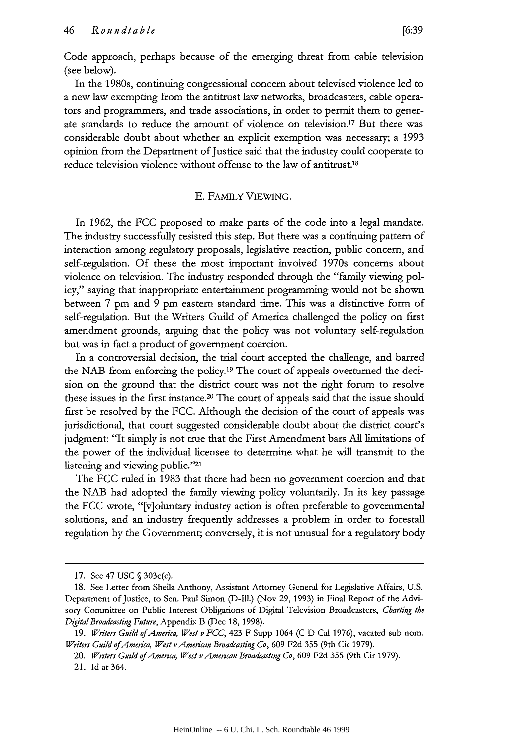Code approach, perhaps because of the emerging threat from cable television (see below).

In the 1980s, continuing congressional concern about televised violence led to a new law exempting from the antitrust law networks, broadcasters, cable operators and programmers, and trade associations, in order to permit them to generate standards to reduce the amount of violence on television.'7 But there was considerable doubt about whether an explicit exemption was necessary; a 1993 opinion from the Department of Justice said that the industry could cooperate to reduce television violence without offense to the law of antitrust.18

#### E. FAMILY VIEWING.

In 1962, the FCC proposed to make parts of the code into a legal mandate. The industry successfully resisted this step. But there was a continuing pattern of interaction among regulatory proposals, legislative reaction, public concern, and self-regulation. Of these the most important involved 1970s concerns about violence on television. The industry responded through the "family viewing policy," saying that inappropriate entertainment programming would not be shown between 7 pm and 9 pm eastern standard time. This was a distinctive form of self-regulation. But the Writers Guild of America challenged the policy on first amendment grounds, arguing that the policy was not voluntary self-regulation but was in fact a product of government coercion.

In a controversial decision, the trial court accepted the challenge, and barred the NAB from enforcing the policy.19 The court of appeals overturned the decision on the ground that the district court was not the right forum to resolve these issues in the first instance.20 The court of appeals said that the issue should first be resolved by the FCC. Although the decision of the court of appeals was jurisdictional, that court suggested considerable doubt about the district court's judgment: "It simply is not true that the First Amendment bars **All** limitations of the power of the individual licensee to determine what he will transmit to the listening and viewing public."<sup>21</sup>

The FCC ruled in 1983 that there had been no government coercion and that the NAB had adopted the family viewing policy voluntarily. In its key passage the FCC wrote, "[v]oluntary industry action is often preferable to governmental solutions, and an industry frequently addresses a problem in order to forestall regulation by the Government; conversely, it is not unusual for a regulatory body

<sup>17.</sup> See 47 USC **§** 303c(c).

<sup>18.</sup> See Letter from Sheila Anthony, Assistant Attorney General for Legislative Affairs, U.S. Department of Justice, to Sen. Paul Simon (D-Ill.) (Nov 29, 1993) in Final Report of the Advisory Committee on Public Interest Obligations of Digital Television Broadcasters, *Charting the DigitalBroadcasting Future,* Appendix B (Dec 18, 1998).

<sup>19.</sup> *Writers Guild of America, West v FCC,* 423 F Supp 1064 (C D Cal 1976), vacated sub nom. *Writers Guild of America, West v American Broadcasting Co,* 609 F2d 355 (9th Cir 1979).

<sup>20.</sup> *Writers* Guild of America, *West v American Broadcasting Co,* 609 F2d 355 (9th Cir 1979).

<sup>21.</sup> Id at 364.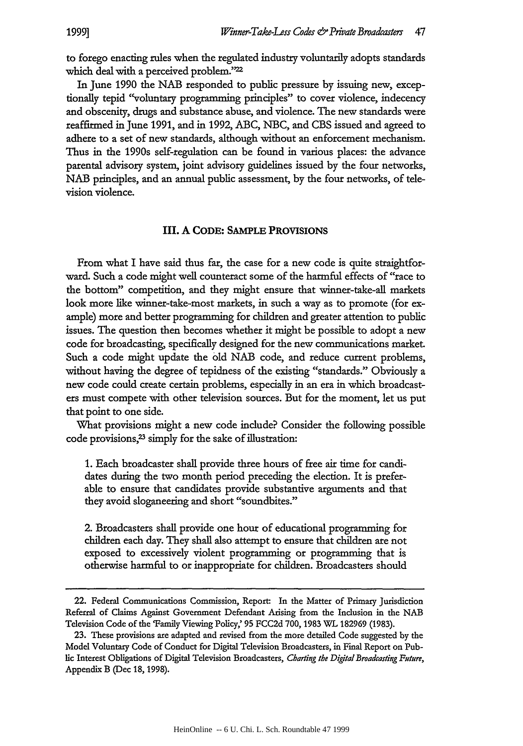to forego enacting rules when the regulated industry voluntarily adopts standards which deal with a perceived problem."<sup>22</sup>

In June 1990 the NAB responded to public pressure by issuing new, exceptionally tepid "voluntary programming principles" to cover violence, indecency and obscenity, drugs and substance abuse, and violence. The new standards were reaffirmed in June 1991, and in 1992, ABC, NBC, and CBS issued and agreed to adhere to a set of new standards, although without an enforcement mechanism. Thus in the 1990s self-regulation can be found in various places: the advance parental advisory system, joint advisory guidelines issued by the four networks, NAB principles, and an annual public assessment, by the four networks, of television violence.

#### **III. A CODE: SAMPLE PROVISIONS**

From what **I** have said thus far, the case for a new code is quite straightforward. Such a code might well counteract some of the harmful effects of "race to the bottom" competition, and they might ensure that winner-take-all markets look more like winner-take-most markets, in such a way as to promote (for example) more and better programming for children and greater attention to public issues. The question then becomes whether it might be possible to adopt a new code for broadcasting, specifically designed for the new communications market. Such a code might update the **old** NAB code, and reduce current problems, without having the degree of tepidness of the existing "standards." Obviously a new code could create certain problems, especially in an era in which broadcasters must compete with other television sources. But for the moment, let us put that point to one side.

What provisions might a new code include? Consider the following possible code provisions,<sup>23</sup> simply for the sake of illustration:

1. Each broadcaster shall provide three hours of free air time for candidates during the two month period preceding the election. It is preferable to ensure that candidates provide substantive arguments and that they avoid sloganeering and short "soundbites."

2. Broadcasters shall provide one hour of educational programming for children each day. They shall also attempt to ensure that children are not exposed to excessively violent programming or programming that is otherwise harmful to or inappropriate for children. Broadcasters should

<sup>22.</sup> Federal Communications Commission, Report: In the Matter of Primary Jurisdiction Referral of Claims Against Government Defendant Arising from the Inclusion in the NAB Television Code of the 'Family Viewing Policy,' **95** FCC2d 700, **1983** WL 182969 (1983).

<sup>23.</sup> These provisions are adapted and revised from the more detailed Code suggested by the Model Voluntary Code of Conduct for Digital Television Broadcasters, in Final Report on Public Interest Obligations of Digital Television Broadcasters, *Charting the DigitalBroadcasting Future,* Appendix B (Dec 18, 1998).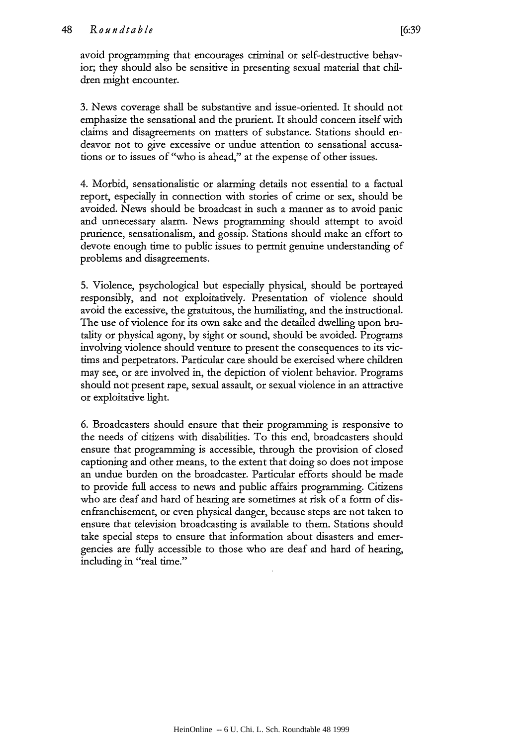avoid programming that encourages criminal or self-destructive behavior; they should also be sensitive in presenting sexual material that children might encounter.

3. News coverage shall be substantive and issue-oriented. It should not emphasize the sensational and the prurient. It should concern itself with claims and disagreements on matters of substance. Stations should endeavor not to give excessive or undue attention to sensational accusations or to issues of "who is ahead," at the expense of other issues.

4. Morbid, sensationalistic or alarming details not essential to a factual report, especially in connection with stories of crime or sex, should be avoided. News should be broadcast in such a manner as to avoid panic and unnecessary alarm. News programming should attempt to avoid prurience, sensationalism, and gossip. Stations should make an effort to devote enough time to public issues to permit genuine understanding of problems and disagreements.

5. Violence, psychological but especially physical, should be portrayed responsibly, and not exploitatively. Presentation of violence should avoid the excessive, the gratuitous, the humiliating, and the instructional. The use of violence for its own sake and the detailed dwelling upon brutality or physical agony, by sight or sound, should be avoided. Programs involving violence should venture to present the consequences to its victims and perpetrators. Particular care should be exercised where children may see, or are involved in, the depiction of violent behavior. Programs should not present rape, sexual assault, or sexual violence in an attractive or exploitative light.

6. Broadcasters should ensure that their programming is responsive to the needs of citizens with disabilities. To this end, broadcasters should ensure that programming is accessible, through the provision of closed captioning and other means, to the extent that doing so does not impose an undue burden on the broadcaster. Particular efforts should be made to provide full access to news and public affairs programming. Citizens who are deaf and hard of hearing are sometimes at risk of a form of disenfranchisement, or even physical danger, because steps are not taken to ensure that television broadcasting is available to them. Stations should take special steps to ensure that information about disasters and emergencies are fully accessible to those who are deaf and hard of hearing, including in "real time."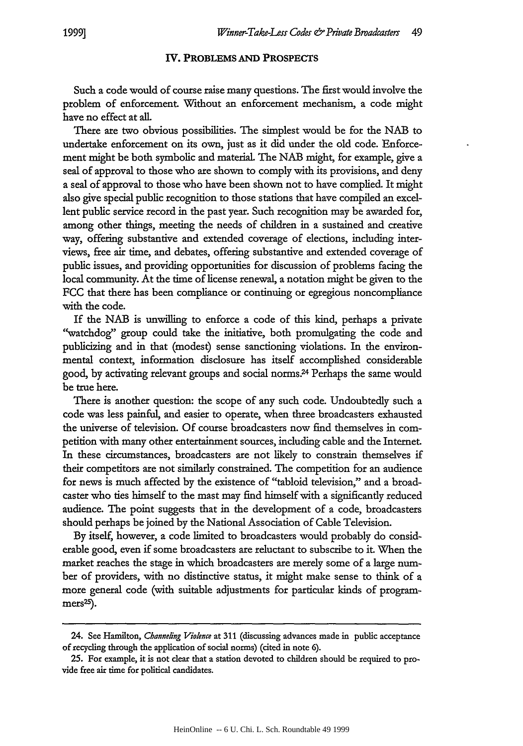#### **IV. PROBLEMS AND PROSPECTS**

Such a code would of course raise many questions. The first would involve the problem of enforcement Without an enforcement mechanism, a code might have no effect at all.

There are two obvious possibilities. The simplest would be for the NAB to undertake enforcement on its own, just as it did under the old code. Enforcement might be both symbolic and material. The NAB might, for example, give a seal of approval to those who are shown to comply with its provisions, and deny a seal of approval to those who have been shown not to have complied. It might also give special public recognition to those stations that have compiled an excellent public service record in the past year. Such recognition may be awarded for, among other things, meeting the needs of children in a sustained and creative way, offering substantive and extended coverage of elections, including interviews, free air time, and debates, offering substantive and extended coverage of public issues, and providing opportunities for discussion of problems facing the local community. At the time of license renewal, a notation might be given to the FCC that there has been compliance or continuing or egregious noncompliance with the code.

If the NAB is unwilling to enforce a code of this kind, perhaps a private "watchdog" group could take the initiative, both promulgating the code and publicizing and in that (modest) sense sanctioning violations. In the environmental context, information disclosure has itself accomplished considerable good, by activating relevant groups and social norms.<sup>24</sup> Perhaps the same would be true here.

There is another question: the scope of any such code. Undoubtedly such a code was less painful, and easier to operate, when three broadcasters exhausted the universe of television. Of course broadcasters now find themselves in competition with many other entertainment sources, including cable and the Internet In these circumstances, broadcasters are not likely to constrain themselves if their competitors are not similarly constrained. The competition for an audience for news is much affected by the existence of "tabloid television," and a broadcaster who ties himself to the mast may find himself with a significantly reduced audience. The point suggests that in the development of a code, broadcasters should perhaps be joined by the National Association of Cable Television.

By itself, however, a code limited to broadcasters would probably do considerable good, even if some broadcasters are reluctant to subscribe to it. When the market reaches the stage in which broadcasters are merely some of a large number of providers, with no distinctive status, it might make sense to think of a more general code (with suitable adjustments for particular kinds of program $mers<sup>25</sup>$ ).

<sup>24.</sup> See Hamilton, *Channeling Vioknce* at 311 (discussing advances made in public acceptance of recycling through the application of social norms) (cited in note 6).

<sup>25.</sup> For example, it is not dear that a station devoted to children should be required to provide free air time for political candidates.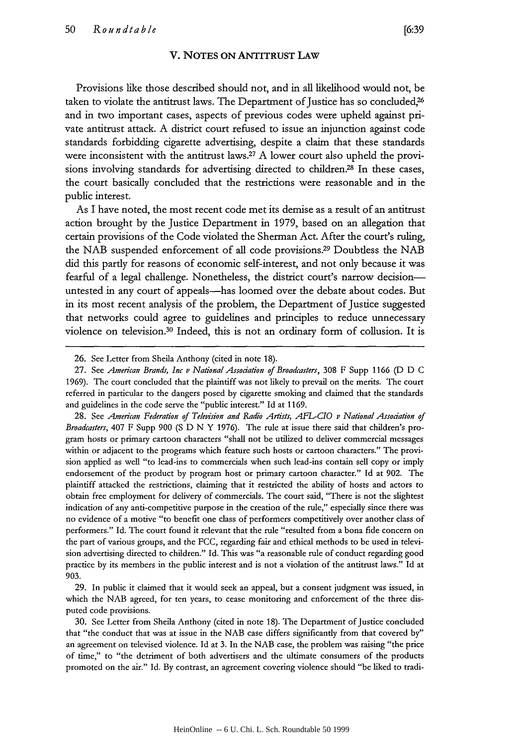#### V. **NOTES ON** ANTITRUST LAw

Provisions like those described should not, and in all likelihood would not, be taken to violate the antitrust laws. The Department of Justice has so concluded,<sup>26</sup> and in two important cases, aspects of previous codes were upheld against private antitrust attack. A district court refused to issue an injunction against code standards forbidding cigarette advertising, despite a claim that these standards were inconsistent with the antitrust laws.<sup>27</sup> A lower court also upheld the provisions involving standards for advertising directed to children.<sup>28</sup> In these cases, the court basically concluded that the restrictions were reasonable and in the public interest.

As I have noted, the most recent code met its demise as a result of an antitrust action brought by the Justice Department in 1979, based on an allegation that certain provisions of the Code violated the Sherman Act. After the court's ruling, the NAB suspended enforcement of all code provisions.<sup>29</sup> Doubtless the NAB did this partly for reasons of economic self-interest, and not only because it was fearful of a legal challenge. Nonetheless, the district court's narrow decisionuntested in any court of appeals-has loomed over the debate about codes. But in its most recent analysis of the problem, the Department of Justice suggested that networks could agree to guidelines and principles to reduce unnecessary violence on television.30 Indeed, this is not an ordinary form of collusion. It is

28. See *American Federation of Television and* Radio *Artists, AFL-CIO v National Association of Broadcasters,* 407 F Supp 900 (S D N Y 1976). The rule at issue there said that children's program hosts or primary cartoon characters "shall not be utilized to deliver commercial messages within or adjacent to the programs which feature such hosts or cartoon characters." The provision applied as well "to lead-ins to commercials when such lead-ins contain sell copy or imply endorsement of the product by program host or primary cartoon character." Id at 902. The plaintiff attacked the restrictions, claiming that it restricted the ability of hosts and actors to obtain free employment for delivery of commercials. The court said, "There is not the slightest indication of any anti-competitive purpose in the creation of the rule," especially since there was no evidence of a motive "to benefit one class of performers competitively over another class of performers." Id. The court found it relevant that the rule "resulted from a bona fide concern on the part of various groups, and the FCC, regarding fair and ethical methods to be used in television advertising directed to children." Id. This was "a reasonable rule of conduct regarding good practice by its members in the public interest and is not a violation of the antitrust laws." Id at 903.

29. In public it claimed that it would seek an appeal, but a consent judgment was issued, in which the NAB agreed, for ten years, to cease monitoring and enforcement of the three disputed code provisions.

30. See Letter from Sheila Anthony (cited in note 18). The Department of Justice concluded that "the conduct that was at issue in the NAB case differs significantly from that covered by" an agreement on televised violence. Id at 3. In the NAB case, the problem was raising "the price of time," to "the detriment of both advertisers and the ultimate consumers of the products promoted on the air." Id. By contrast, an agreement covering violence should "be liked to tradi-

<sup>26.</sup> See Letter from Sheila Anthony (cited in note 18).

<sup>27.</sup> See *American Brands, Inc v National Assodation, of Broadcasters,* 308 F Supp 1166 (D D C 1969). The court concluded that the plaintiff was not likely to prevail on the merits. The court referred in particular to the dangers posed by cigarette smoking and claimed that the standards and guidelines in the code serve the "public interest." Id at 1169.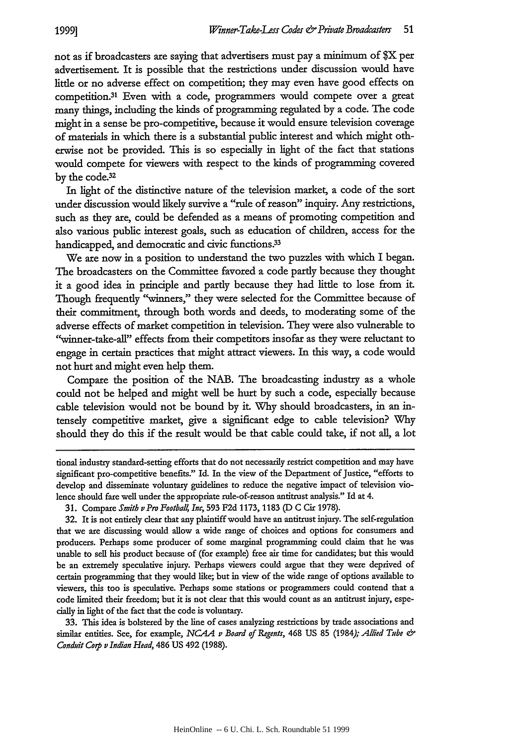not as if broadcasters are saying that advertisers must pay a minimum of \$X per advertisement. It is possible that the restrictions under discussion would have little or no adverse effect on competition; they may even have good effects on competition.31 Even with a code, programmers would compete over a great many things, including the kinds of programming regulated by a code. The code might in a sense be pro-competitive, because it would ensure television coverage of materials in which there is a substantial public interest and which might otherwise not be provided. This is so especially in light of the fact that stations would compete for viewers with respect to the kinds of programming covered by the code.32

In light of the distinctive nature of the television market, a code of the sort under discussion would likely survive a "rule of reason" inquiry. Any restrictions, such as they are, could be defended as a means of promoting competition and also various public interest goals, such as education of children, access for the handicapped, and democratic and civic functions.<sup>33</sup>

We are now in a position to understand the two puzzles with which I began. The broadcasters on the Committee favored a code partly because they thought it a good idea in principle and partly because they had little to lose from it. Though frequently "winners," they were selected for the Committee because of their commitment, through both words and deeds, to moderating some of the adverse effects of market competition in television. They were also vulnerable to "winner-take-all" effects from their competitors insofar as they were reluctant to engage in certain practices that might attract viewers. In this way, a code would not hurt and might even help them.

Compare the position of the NAB. The broadcasting industry as a whole could not be helped and might well be hurt by such a code, especially because cable television would not be bound by it. Why should broadcasters, in an intensely competitive market, give a significant edge to cable television? Why should they do this if the result would be that cable could take, if not all, a lot

tional industry standard-setting efforts that do not necessarily restrict competition and may have significant pro-competitive benefits." Id. In the view of the Department of Justice, "efforts to develop and disseminate voluntary guidelines to reduce the negative impact of television violence should fare well under the appropriate rule-of-reason antitrust analysis." Id at 4.

33. This idea is bolstered by the line of cases analyzing restrictions by trade associations and similar entities. See, for example, *NCAA v Board of Regents,* 468 **US** 85 (1984); *Allied Tube*  Conduit Corp v *Indian Head,* 486 US 492 **(1988).**

**<sup>31.</sup>** Compare *Smith v Pro Footbal4* Inc, 593 F2d 1173, 1183 (D C Cir 1978).

<sup>32.</sup> It is not entirely dear that any plaintiff would have an antitrust injury. The self-regulation that we are discussing would allow a wide range of choices and options for consumers and producers. Perhaps some producer of some marginal programming could claim that he was unable to sell his product because of (for example) free air time for candidates; but this would be an extremely speculative injury. Perhaps viewers could argue that they were deprived of certain programming that they would like; but in view of the wide range of options available to viewers, this too is speculative. Perhaps some stations or programmers could contend that a code limited their freedom; but it is not dear that this would count as an antitrust injury, especially in light of the fact that the code is voluntary.